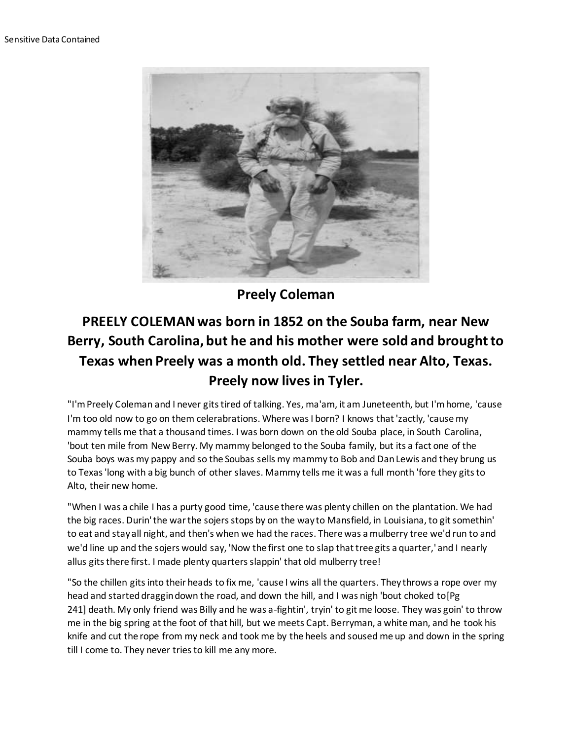

**Preely Coleman**

## **PREELY COLEMAN was born in 1852 on the Souba farm, near New Berry, South Carolina, but he and his mother were sold and brought to Texas when Preely was a month old. They settled near Alto, Texas. Preely now lives in Tyler.**

"I'm Preely Coleman and I never gits tired of talking. Yes, ma'am, it am Juneteenth, but I'm home, 'cause I'm too old now to go on them celerabrations. Where was I born? I knows that 'zactly, 'cause my mammy tells me that a thousand times. I was born down on the old Souba place, in South Carolina, 'bout ten mile from New Berry. My mammy belonged to the Souba family, but its a fact one of the Souba boys was my pappy and so the Soubas sells my mammy to Bob and Dan Lewis and they brung us to Texas 'long with a big bunch of other slaves. Mammy tells me it was a full month 'fore they gits to Alto, their new home.

"When I was a chile I has a purty good time, 'cause there was plenty chillen on the plantation. We had the big races. Durin' the war the sojers stops by on the way to Mansfield, in Louisiana, to git somethin' to eat and stay all night, and then's when we had the races. There was a mulberry tree we'd run to and we'd line up and the sojers would say, 'Now the first one to slap that tree gits a quarter,' and I nearly allus gits there first. I made plenty quarters slappin' that old mulberry tree!

"So the chillen gits into their heads to fix me, 'cause I wins all the quarters. They throws a rope over my head and started draggin down the road, and down the hill, and I was nigh 'bout choked to [Pg] 241] death. My only friend was Billy and he was a-fightin', tryin' to git me loose. They was goin' to throw me in the big spring at the foot of that hill, but we meets Capt. Berryman, a white man, and he took his knife and cut the rope from my neck and took me by the heels and soused me up and down in the spring till I come to. They never tries to kill me any more.